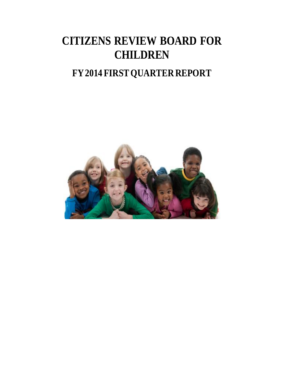# **CITIZENS REVIEW BOARD FOR CHILDREN**

## **FY 2014 FIRST QUARTER REPORT**

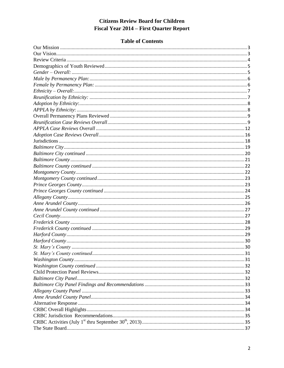#### **Table of Contents**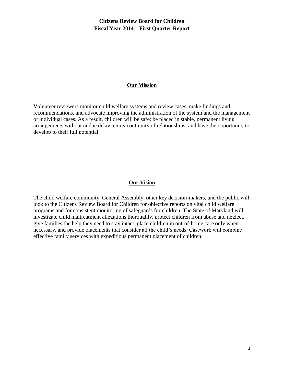#### **Our Mission**

<span id="page-2-0"></span>Volunteer reviewers monitor child welfare systems and review cases, make findings and recommendations, and advocate improving the administration of the system and the management of individual cases. As a result, children will be safe; be placed in stable, permanent living arrangements without undue delay; enjoy continuity of relationships; and have the opportunity to develop to their full potential.

#### **Our Vision**

<span id="page-2-1"></span>The child welfare community, General Assembly, other key decision-makers, and the public will look to the Citizens Review Board for Children for objective reports on vital child welfare programs and for consistent monitoring of safeguards for children. The State of Maryland will investigate child maltreatment allegations thoroughly, protect children from abuse and neglect, give families the help they need to stay intact, place children in out-of-home care only when necessary, and provide placements that consider all the child's needs. Casework will combine effective family services with expeditious permanent placement of children.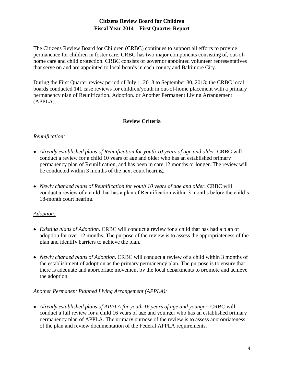The Citizens Review Board for Children (CRBC) continues to support all efforts to provide permanence for children in foster care. CRBC has two major components consisting of, out-ofhome care and child protection. CRBC consists of governor appointed volunteer representatives that serve on and are appointed to local boards in each county and Baltimore City.

During the First Quarter review period of July 1, 2013 to September 30, 2013; the CRBC local boards conducted 141 case reviews for children/youth in out-of-home placement with a primary permanency plan of Reunification, Adoption, or Another Permanent Living Arrangement (APPLA).

## **Review Criteria**

#### <span id="page-3-0"></span>*Reunification:*

- *Already established plans of Reunification for youth 10 years of age and older.* CRBC will conduct a review for a child 10 years of age and older who has an established primary permanency plan of Reunification, and has been in care 12 months or longer. The review will be conducted within 3 months of the next court hearing.
- *Newly changed plans of Reunification for youth 10 years of age and older.* CRBC will conduct a review of a child that has a plan of Reunification within 3 months before the child's 18-month court hearing.

## *Adoption:*

- *Existing plans of Adoption.* CRBC will conduct a review for a child that has had a plan of adoption for over 12 months. The purpose of the review is to assess the appropriateness of the plan and identify barriers to achieve the plan.
- *Newly changed plans of Adoption*. CRBC will conduct a review of a child within 3 months of the establishment of adoption as the primary permanency plan. The purpose is to ensure that there is adequate and appropriate movement by the local departments to promote and achieve the adoption.

#### *Another Permanent Planned Living Arrangement (APPLA):*

• Already established plans of APPLA for youth 16 years of age and younger. CRBC will conduct a full review for a child 16 years of age and younger who has an established primary permanency plan of APPLA. The primary purpose of the review is to assess appropriateness of the plan and review documentation of the Federal APPLA requirements.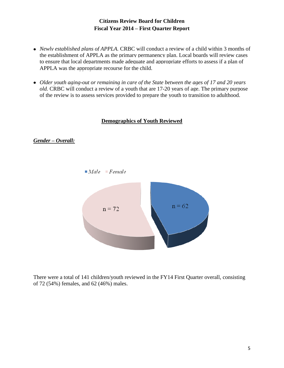- *Newly established plans of APPLA.* CRBC will conduct a review of a child within 3 months of the establishment of APPLA as the primary permanency plan. Local boards will review cases to ensure that local departments made adequate and appropriate efforts to assess if a plan of APPLA was the appropriate recourse for the child.
- *Older youth aging-out or remaining in care of the State between the ages of 17 and 20 years old.* CRBC will conduct a review of a youth that are 17-20 years of age. The primary purpose of the review is to assess services provided to prepare the youth to transition to adulthood.

#### **Demographics of Youth Reviewed**

#### <span id="page-4-1"></span><span id="page-4-0"></span>*Gender – Overall:*



There were a total of 141 children/youth reviewed in the FY14 First Quarter overall, consisting of 72 (54%) females, and 62 (46%) males.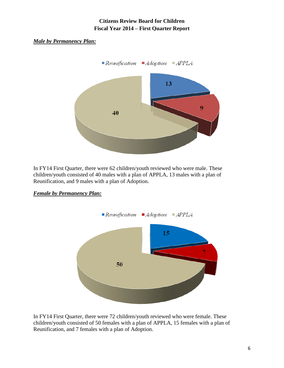#### <span id="page-5-0"></span>*Male by Permanency Plan:*



In FY14 First Quarter, there were 62 children/youth reviewed who were male. These children/youth consisted of 40 males with a plan of APPLA, 13 males with a plan of Reunification, and 9 males with a plan of Adoption.



## <span id="page-5-1"></span>*Female by Permanency Plan:*

In FY14 First Quarter, there were 72 children/youth reviewed who were female. These children/youth consisted of 50 females with a plan of APPLA, 15 females with a plan of Reunification, and 7 females with a plan of Adoption.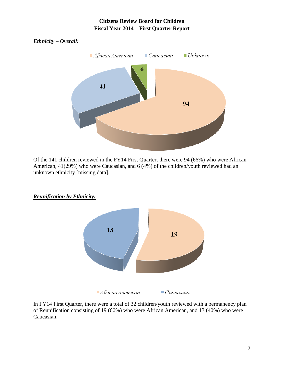<span id="page-6-0"></span>

Of the 141 children reviewed in the FY14 First Quarter, there were 94 (66%) who were African American, 41(29%) who were Caucasian, and 6 (4%) of the children/youth reviewed had an unknown ethnicity [missing data].



<span id="page-6-1"></span>*Reunification by Ethnicity:*

In FY14 First Quarter, there were a total of 32 children/youth reviewed with a permanency plan of Reunification consisting of 19 (60%) who were African American, and 13 (40%) who were Caucasian.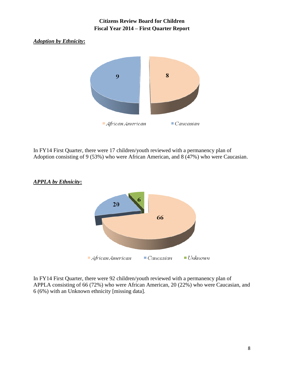#### <span id="page-7-0"></span>*Adoption by Ethnicity***:**



In FY14 First Quarter, there were 17 children/youth reviewed with a permanency plan of Adoption consisting of 9 (53%) who were African American, and 8 (47%) who were Caucasian.



#### <span id="page-7-1"></span>*APPLA by Ethnicity***:**

In FY14 First Quarter, there were 92 children/youth reviewed with a permanency plan of APPLA consisting of 66 (72%) who were African American, 20 (22%) who were Caucasian, and 6 (6%) with an Unknown ethnicity [missing data].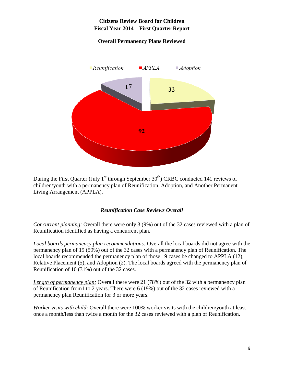## **Overall Permanency Plans Reviewed**

<span id="page-8-0"></span>

During the First Quarter (July  $1<sup>st</sup>$  through September 30<sup>th</sup>) CRBC conducted 141 reviews of children/youth with a permanency plan of Reunification, Adoption, and Another Permanent Living Arrangement (APPLA).

## *Reunification Case Reviews Overall*

<span id="page-8-1"></span>*Concurrent planning:* Overall there were only 3 (9%) out of the 32 cases reviewed with a plan of Reunification identified as having a concurrent plan.

*Local boards permanency plan recommendations:* Overall the local boards did not agree with the permanency plan of 19 (59%) out of the 32 cases with a permanency plan of Reunification. The local boards recommended the permanency plan of those 19 cases be changed to APPLA (12), Relative Placement (5), and Adoption (2). The local boards agreed with the permanency plan of Reunification of 10 (31%) out of the 32 cases.

*Length of permanency plan:* Overall there were 21 (78%) out of the 32 with a permanency plan of Reunification from1 to 2 years. There were 6 (19%) out of the 32 cases reviewed with a permanency plan Reunification for 3 or more years.

*Worker visits with child:* Overall there were 100% worker visits with the children/youth at least once a month/less than twice a month for the 32 cases reviewed with a plan of Reunification.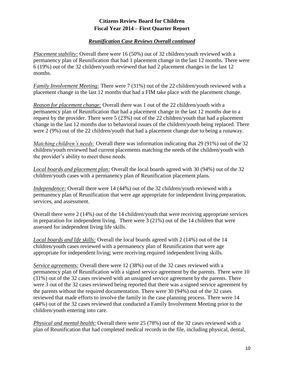#### *Reunification Case Reviews Overall continued*

*Placement stability:* Overall there were 16 (50%) out of 32 children/youth reviewed with a permanency plan of Reunification that had 1 placement change in the last 12 months. There were 6 (19%) out of the 32 children/youth reviewed that had 2 placement changes in the last 12 months.

*Family Involvement Meeting:* There were 7 (31%) out of the 22 children/youth reviewed with a placement change in the last 12 months that had a FIM take place with the placement change.

*Reason for placement change:* Overall there was 1 out of the 22 children/youth with a permanency plan of Reunification that had a placement change in the last 12 months due to a request by the provider. There were 5 (23%) out of the 22 children/youth that had a placement change in the last 12 months due to behavioral issues of the children/youth being replaced. There were 2 (9%) out of the 22 children/youth that had a placement change due to being a runaway.

*Matching children's needs:* Overall there was information indicating that 29 (91%) out of the 32 children/youth reviewed had current placements matching the needs of the children/youth with the provider's ability to meet those needs.

*Local boards and placement plan:* Overall the local boards agreed with 30 (94%) out of the 32 children/youth cases with a permanency plan of Reunification placement plans.

*Independence:* Overall there were 14 (44%) out of the 32 children/youth reviewed with a permanency plan of Reunification that were age appropriate for independent living preparation, services, and assessment.

Overall there were 2 (14%) out of the 14 children/youth that were receiving appropriate services in preparation for independent living. There were 3 (21%) out of the 14 children that were assessed for independent living life skills.

*Local boards and life skills:* Overall the local boards agreed with 2 (14%) out of the 14 children/youth cases reviewed with a permanency plan of Reunification that were age appropriate for independent living; were receiving required independent living skills.

*Service agreements:* Overall there were 12 (38%) out of the 32 cases reviewed with a permanency plan of Reunification with a signed service agreement by the parents. There were 10 (31%) out of the 32 cases reviewed with an unsigned service agreement by the parents. There were 3 out of the 32 cases reviewed being reported that there was a signed service agreement by the parents without the required documentation. There were 30 (94%) out of the 32 cases reviewed that made efforts to involve the family in the case planning process. There were 14 (44%) out of the 32 cases reviewed that conducted a Family Involvement Meeting prior to the children/youth entering into care.

*Physical and mental health:* Overall there were 25 (78%) out of the 32 cases reviewed with a plan of Reunification that had completed medical records in the file, including physical, dental,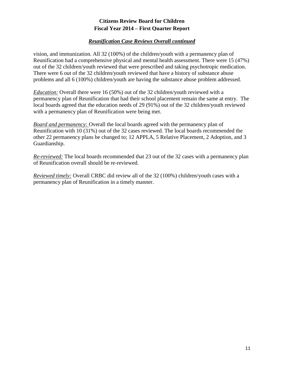#### *Reunification Case Reviews Overall continued*

vision, and immunization. All 32 (100%) of the children/youth with a permanency plan of Reunification had a comprehensive physical and mental health assessment. There were 15 (47%) out of the 32 children/youth reviewed that were prescribed and taking psychotropic medication. There were 6 out of the 32 children/youth reviewed that have a history of substance abuse problems and all 6 (100%) children/youth are having the substance abuse problem addressed.

*Education:* Overall there were 16 (50%) out of the 32 children/youth reviewed with a permanency plan of Reunification that had their school placement remain the same at entry. The local boards agreed that the education needs of 29 (91%) out of the 32 children/youth reviewed with a permanency plan of Reunification were being met.

*Board and permanency:* Overall the local boards agreed with the permanency plan of Reunification with 10 (31%) out of the 32 cases reviewed. The local boards recommended the other 22 permanency plans be changed to; 12 APPLA, 5 Relative Placement, 2 Adoption, and 3 Guardianship.

*Re-reviewed:* The local boards recommended that 23 out of the 32 cases with a permanency plan of Reunification overall should be re-reviewed.

*Reviewed timely:* Overall CRBC did review all of the 32 (100%) children/youth cases with a permanency plan of Reunification in a timely manner.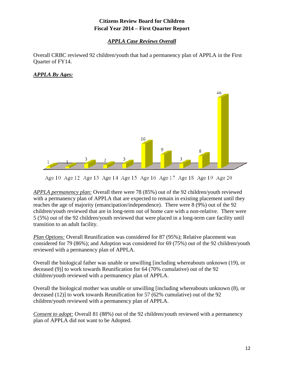#### *APPLA Case Reviews Overall*

<span id="page-11-0"></span>Overall CRBC reviewed 92 children/youth that had a permanency plan of APPLA in the First Quarter of FY14.

#### *APPLA By Ages:*



Age 10 Age 12 Age 13 Age 14 Age 15 Age 16 Age 17 Age 18 Age 19 Age 20

*APPLA permanency plan:* Overall there were 78 (85%) out of the 92 children/youth reviewed with a permanency plan of APPLA that are expected to remain in existing placement until they reaches the age of majority (emancipation/independence). There were 8 (9%) out of the 92 children/youth reviewed that are in long-term out of home care with a non-relative. There were 5 (5%) out of the 92 children/youth reviewed that were placed in a long-term care facility until transition to an adult facility.

*Plan Options:* Overall Reunification was considered for 87 (95%); Relative placement was considered for 79 (86%); and Adoption was considered for 69 (75%) out of the 92 children/youth reviewed with a permanency plan of APPLA.

Overall the biological father was unable or unwilling [including whereabouts unknown (19), or deceased (9)] to work towards Reunification for 64 (70% cumulative) out of the 92 children/youth reviewed with a permanency plan of APPLA.

Overall the biological mother was unable or unwilling [including whereabouts unknown (8), or deceased (12)] to work towards Reunification for 57 (62% cumulative) out of the 92 children/youth reviewed with a permanency plan of APPLA.

*Consent to adopt:* Overall 81 (88%) out of the 92 children/youth reviewed with a permanency plan of APPLA did not want to be Adopted.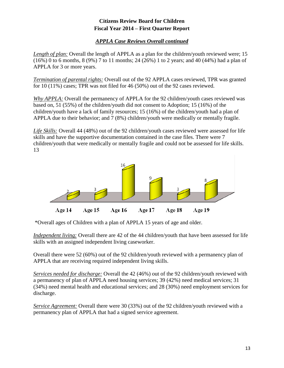## *APPLA Case Reviews Overall continued*

*Length of plan:* Overall the length of APPLA as a plan for the children/youth reviewed were; 15 (16%) 0 to 6 months, 8 (9%) 7 to 11 months; 24 (26%) 1 to 2 years; and 40 (44%) had a plan of APPLA for 3 or more years.

*Termination of parental rights:* Overall out of the 92 APPLA cases reviewed, TPR was granted for 10 (11%) cases; TPR was not filed for 46 (50%) out of the 92 cases reviewed.

*Why APPLA:* Overall the permanency of APPLA for the 92 children/youth cases reviewed was based on, 51 (55%) of the children/youth did not consent to Adoption; 15 (16%) of the children/youth have a lack of family resources; 15 (16%) of the children/youth had a plan of APPLA due to their behavior; and 7 (8%) children/youth were medically or mentally fragile.

*Life Skills:* Overall 44 (48%) out of the 92 children/youth cases reviewed were assessed for life skills and have the supportive documentation contained in the case files. There were 7 children/youth that were medically or mentally fragile and could not be assessed for life skills. 13



\*Overall ages of Children with a plan of APPLA 15 years of age and older.

*Independent living:* Overall there are 42 of the 44 children/youth that have been assessed for life skills with an assigned independent living caseworker.

Overall there were 52 (60%) out of the 92 children/youth reviewed with a permanency plan of APPLA that are receiving required independent living skills.

*Services needed for discharge:* Overall the 42 (46%) out of the 92 children/youth reviewed with a permanency of plan of APPLA need housing services; 39 (42%) need medical services; 31 (34%) need mental health and educational services; and 28 (30%) need employment services for discharge.

*Service Agreement:* Overall there were 30 (33%) out of the 92 children/youth reviewed with a permanency plan of APPLA that had a signed service agreement.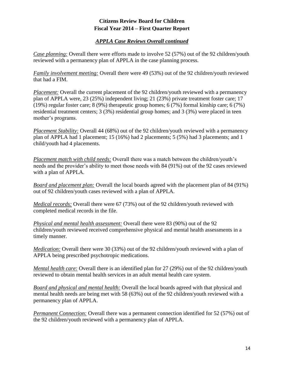#### *APPLA Case Reviews Overall continued*

*Case planning:* Overall there were efforts made to involve 52 (57%) out of the 92 children/youth reviewed with a permanency plan of APPLA in the case planning process.

*Family involvement meeting:* Overall there were 49 (53%) out of the 92 children/youth reviewed that had a FIM.

*Placement:* Overall the current placement of the 92 children/youth reviewed with a permanency plan of APPLA were, 23 (25%) independent living; 21 (23%) private treatment foster care; 17 (19%) regular foster care; 8 (9%) therapeutic group homes; 6 (7%) formal kinship care; 6 (7%) residential treatment centers; 3 (3%) residential group homes; and 3 (3%) were placed in teen mother's programs.

*Placement Stability:* Overall 44 (68%) out of the 92 children/youth reviewed with a permanency plan of APPLA had 1 placement; 15 (16%) had 2 placements; 5 (5%) had 3 placements; and 1 child/youth had 4 placements.

*Placement match with child needs:* Overall there was a match between the children/youth's needs and the provider's ability to meet those needs with 84 (91%) out of the 92 cases reviewed with a plan of APPLA.

*Board and placement plan:* Overall the local boards agreed with the placement plan of 84 (91%) out of 92 children/youth cases reviewed with a plan of APPLA.

*Medical records:* Overall there were 67 (73%) out of the 92 children/youth reviewed with completed medical records in the file.

*Physical and mental health assessment:* Overall there were 83 (90%) out of the 92 children/youth reviewed received comprehensive physical and mental health assessments in a timely manner.

*Medication:* Overall there were 30 (33%) out of the 92 children/youth reviewed with a plan of APPLA being prescribed psychotropic medications.

*Mental health care:* Overall there is an identified plan for 27 (29%) out of the 92 children/youth reviewed to obtain mental health services in an adult mental health care system.

*Board and physical and mental health:* Overall the local boards agreed with that physical and mental health needs are being met with 58 (63%) out of the 92 children/youth reviewed with a permanency plan of APPLA.

*Permanent Connection:* Overall there was a permanent connection identified for 52 (57%) out of the 92 children/youth reviewed with a permanency plan of APPLA.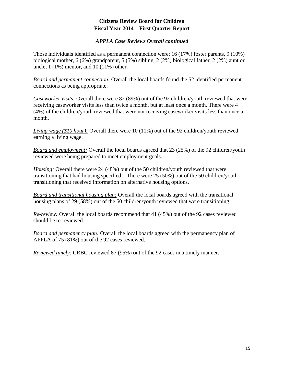#### *APPLA Case Reviews Overall continued*

Those individuals identified as a permanent connection were; 16 (17%) foster parents, 9 (10%) biological mother, 6 (6%) grandparent, 5 (5%) sibling, 2 (2%) biological father, 2 (2%) aunt or uncle, 1 (1%) mentor, and 10 (11%) other.

*Board and permanent connection:* Overall the local boards found the 52 identified permanent connections as being appropriate.

*Caseworker visits:* Overall there were 82 (89%) out of the 92 children/youth reviewed that were receiving caseworker visits less than twice a month, but at least once a month. There were 4 (4%) of the children/youth reviewed that were not receiving caseworker visits less than once a month.

*Living wage (\$10 hour):* Overall there were 10 (11%) out of the 92 children/youth reviewed earning a living wage.

*Board and employment:* Overall the local boards agreed that 23 (25%) of the 92 children/youth reviewed were being prepared to meet employment goals.

*Housing:* Overall there were 24 (48%) out of the 50 children/youth reviewed that were transitioning that had housing specified. There were 25 (50%) out of the 50 children/youth transitioning that received information on alternative housing options.

*Board and transitional housing plan:* Overall the local boards agreed with the transitional housing plans of 29 (58%) out of the 50 children/youth reviewed that were transitioning.

*Re-review:* Overall the local boards recommend that 41 (45%) out of the 92 cases reviewed should be re-reviewed.

*Board and permanency plan:* Overall the local boards agreed with the permanency plan of APPLA of 75 (81%) out of the 92 cases reviewed.

*Reviewed timely:* CRBC reviewed 87 (95%) out of the 92 cases in a timely manner.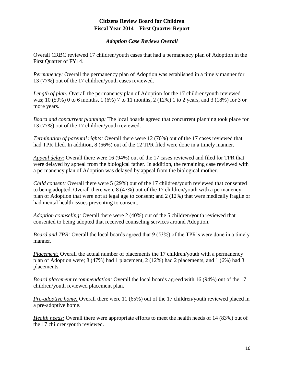#### *Adoption Case Reviews Overall*

<span id="page-15-0"></span>Overall CRBC reviewed 17 children/youth cases that had a permanency plan of Adoption in the First Quarter of FY14.

*Permanency:* Overall the permanency plan of Adoption was established in a timely manner for 13 (77%) out of the 17 children/youth cases reviewed.

*Length of plan:* Overall the permanency plan of Adoption for the 17 children/youth reviewed was; 10 (59%) 0 to 6 months, 1 (6%) 7 to 11 months, 2 (12%) 1 to 2 years, and 3 (18%) for 3 or more years.

*Board and concurrent planning:* The local boards agreed that concurrent planning took place for 13 (77%) out of the 17 children/youth reviewed.

*Termination of parental rights:* Overall there were 12 (70%) out of the 17 cases reviewed that had TPR filed. In addition, 8 (66%) out of the 12 TPR filed were done in a timely manner.

*Appeal delay:* Overall there were 16 (94%) out of the 17 cases reviewed and filed for TPR that were delayed by appeal from the biological father. In addition, the remaining case reviewed with a permanency plan of Adoption was delayed by appeal from the biological mother.

*Child consent:* Overall there were 5 (29%) out of the 17 children/youth reviewed that consented to being adopted. Overall there were 8 (47%) out of the 17 children/youth with a permanency plan of Adoption that were not at legal age to consent; and 2 (12%) that were medically fragile or had mental health issues preventing to consent.

*Adoption counseling:* Overall there were 2 (40%) out of the 5 children/youth reviewed that consented to being adopted that received counseling services around Adoption.

*Board and TPR:* Overall the local boards agreed that 9 (53%) of the TPR's were done in a timely manner.

*Placement:* Overall the actual number of placements the 17 children/youth with a permanency plan of Adoption were; 8 (47%) had 1 placement, 2 (12%) had 2 placements, and 1 (6%) had 3 placements.

*Board placement recommendation:* Overall the local boards agreed with 16 (94%) out of the 17 children/youth reviewed placement plan.

*Pre-adoptive home:* Overall there were 11 (65%) out of the 17 children/youth reviewed placed in a pre-adoptive home.

*Health needs:* Overall there were appropriate efforts to meet the health needs of 14 (83%) out of the 17 children/youth reviewed.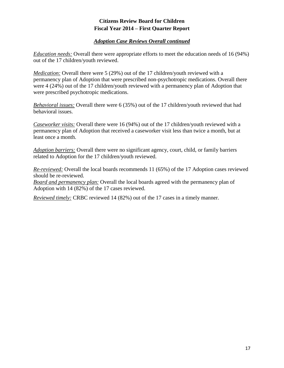#### *Adoption Case Reviews Overall continued*

*Education needs:* Overall there were appropriate efforts to meet the education needs of 16 (94%) out of the 17 children/youth reviewed.

*Medication:* Overall there were 5 (29%) out of the 17 children/youth reviewed with a permanency plan of Adoption that were prescribed non-psychotropic medications. Overall there were 4 (24%) out of the 17 children/youth reviewed with a permanency plan of Adoption that were prescribed psychotropic medications.

*Behavioral issues:* Overall there were 6 (35%) out of the 17 children/youth reviewed that had behavioral issues.

*Caseworker visits:* Overall there were 16 (94%) out of the 17 children/youth reviewed with a permanency plan of Adoption that received a caseworker visit less than twice a month, but at least once a month.

*Adoption barriers:* Overall there were no significant agency, court, child, or family barriers related to Adoption for the 17 children/youth reviewed.

*Re-reviewed:* Overall the local boards recommends 11 (65%) of the 17 Adoption cases reviewed should be re-reviewed.

*Board and permanency plan:* Overall the local boards agreed with the permanency plan of Adoption with 14 (82%) of the 17 cases reviewed.

*Reviewed timely:* CRBC reviewed 14 (82%) out of the 17 cases in a timely manner.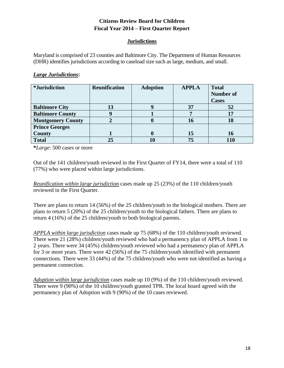#### **Jurisdictions**

<span id="page-17-0"></span>Maryland is comprised of 23 counties and Baltimore City. The Department of Human Resources (DHR) identifies jurisdictions according to caseload size such as large, medium, and small.

#### *Large Jurisdictions***:**

| <i>*Jurisdiction</i>     | <b>Reunification</b> | <b>Adoption</b> | <b>APPLA</b> | <b>Total</b>     |
|--------------------------|----------------------|-----------------|--------------|------------------|
|                          |                      |                 |              | <b>Number of</b> |
|                          |                      |                 |              | <b>Cases</b>     |
| <b>Baltimore City</b>    | 13                   |                 | 37           | 52               |
| <b>Baltimore County</b>  |                      |                 |              |                  |
| <b>Montgomery County</b> |                      |                 | 16           |                  |
| <b>Prince Georges</b>    |                      |                 |              |                  |
| <b>County</b>            |                      |                 | 15           | 16               |
| <b>Total</b>             | 25                   |                 | 75           |                  |

**\****Large*: 500 cases or more

Out of the 141 children/youth reviewed in the First Quarter of FY14, there were a total of 110 (77%) who were placed within large jurisdictions.

*Reunification within large jurisdiction* cases made up 25 (23%) of the 110 children/youth reviewed in the First Quarter.

There are plans to return 14 (56%) of the 25 children/youth to the biological mothers. There are plans to return 5 (20%) of the 25 children/youth to the biological fathers. There are plans to return 4 (16%) of the 25 children/youth to both biological parents.

*APPLA within large jurisdiction* cases made up 75 (68%) of the 110 children/youth reviewed. There were 21 (28%) children/youth reviewed who had a permanency plan of APPLA from 1 to 2 years. There were 34 (45%) children/youth reviewed who had a permanency plan of APPLA for 3 or more years. There were 42 (56%) of the 75 children/youth identified with permanent connections. There were 33 (44%) of the 75 children/youth who were not identified as having a permanent connection.

*Adoption within large jurisdiction* cases made up 10 (9%) of the 110 children/youth reviewed. There were 9 (90%) of the 10 children/youth granted TPR. The local board agreed with the permanency plan of Adoption with 9 (90%) of the 10 cases reviewed.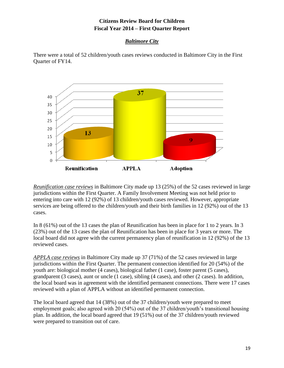## *Baltimore City*

<span id="page-18-0"></span>There were a total of 52 children/youth cases reviews conducted in Baltimore City in the First Quarter of FY14.



*Reunification case reviews* in Baltimore City made up 13 (25%) of the 52 cases reviewed in large jurisdictions within the First Quarter. A Family Involvement Meeting was not held prior to entering into care with 12 (92%) of 13 children/youth cases reviewed. However, appropriate services are being offered to the children/youth and their birth families in 12 (92%) out of the 13 cases.

In 8 (61%) out of the 13 cases the plan of Reunification has been in place for 1 to 2 years. In 3 (23%) out of the 13 cases the plan of Reunification has been in place for 3 years or more. The local board did not agree with the current permanency plan of reunification in 12 (92%) of the 13 reviewed cases.

*APPLA case reviews* in Baltimore City made up 37 (71%) of the 52 cases reviewed in large jurisdictions within the First Quarter. The permanent connection identified for 20 (54%) of the youth are: biological mother (4 cases), biological father (1 case), foster parent (5 cases), grandparent (3 cases), aunt or uncle (1 case), sibling (4 cases), and other (2 cases). In addition, the local board was in agreement with the identified permanent connections. There were 17 cases reviewed with a plan of APPLA without an identified permanent connection.

The local board agreed that 14 (38%) out of the 37 children/youth were prepared to meet employment goals; also agreed with 20 (54%) out of the 37 children/youth's transitional housing plan. In addition, the local board agreed that 19 (51%) out of the 37 children/youth reviewed were prepared to transition out of care.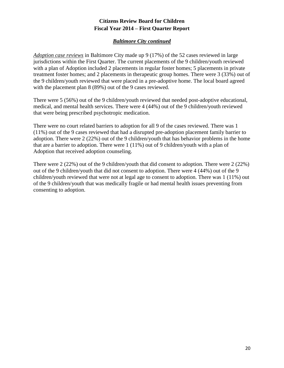#### *Baltimore City continued*

<span id="page-19-0"></span>*Adoption case reviews* in Baltimore City made up 9 (17%) of the 52 cases reviewed in large jurisdictions within the First Quarter. The current placements of the 9 children/youth reviewed with a plan of Adoption included 2 placements in regular foster homes; 5 placements in private treatment foster homes; and 2 placements in therapeutic group homes. There were 3 (33%) out of the 9 children/youth reviewed that were placed in a pre-adoptive home. The local board agreed with the placement plan 8 (89%) out of the 9 cases reviewed.

There were 5 (56%) out of the 9 children/youth reviewed that needed post-adoptive educational, medical, and mental health services. There were 4 (44%) out of the 9 children/youth reviewed that were being prescribed psychotropic medication.

There were no court related barriers to adoption for all 9 of the cases reviewed. There was 1 (11%) out of the 9 cases reviewed that had a disrupted pre-adoption placement family barrier to adoption. There were 2 (22%) out of the 9 children/youth that has behavior problems in the home that are a barrier to adoption. There were 1 (11%) out of 9 children/youth with a plan of Adoption that received adoption counseling.

There were 2 (22%) out of the 9 children/youth that did consent to adoption. There were 2 (22%) out of the 9 children/youth that did not consent to adoption. There were 4 (44%) out of the 9 children/youth reviewed that were not at legal age to consent to adoption. There was 1 (11%) out of the 9 children/youth that was medically fragile or had mental health issues preventing from consenting to adoption.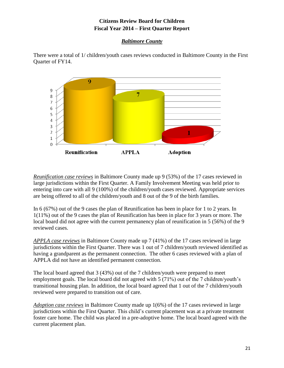## *Baltimore County*

<span id="page-20-0"></span>There were a total of 1/ children/youth cases reviews conducted in Baltimore County in the First Quarter of FY14.



*Reunification case reviews* in Baltimore County made up 9 (53%) of the 17 cases reviewed in large jurisdictions within the First Quarter. A Family Involvement Meeting was held prior to entering into care with all 9 (100%) of the children/youth cases reviewed. Appropriate services are being offered to all of the children/youth and 8 out of the 9 of the birth families.

In 6 (67%) out of the 9 cases the plan of Reunification has been in place for 1 to 2 years. In 1(11%) out of the 9 cases the plan of Reunification has been in place for 3 years or more. The local board did not agree with the current permanency plan of reunification in 5 (56%) of the 9 reviewed cases.

*APPLA case reviews* in Baltimore County made up 7 (41%) of the 17 cases reviewed in large jurisdictions within the First Quarter. There was 1 out of 7 children/youth reviewed identified as having a grandparent as the permanent connection. The other 6 cases reviewed with a plan of APPLA did not have an identified permanent connection.

The local board agreed that 3 (43%) out of the 7 children/youth were prepared to meet employment goals. The local board did not agreed with 5 (71%) out of the 7 children/youth's transitional housing plan. In addition, the local board agreed that 1 out of the 7 children/youth reviewed were prepared to transition out of care.

*Adoption case reviews* in Baltimore County made up 1(6%) of the 17 cases reviewed in large jurisdictions within the First Quarter. This child's current placement was at a private treatment foster care home. The child was placed in a pre-adoptive home. The local board agreed with the current placement plan.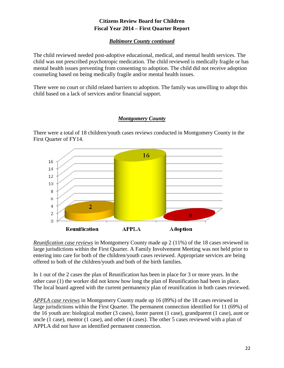## *Baltimore County continued*

<span id="page-21-0"></span>The child reviewed needed post-adoptive educational, medical, and mental health services. The child was not prescribed psychotropic medication. The child reviewed is medically fragile or has mental health issues preventing from consenting to adoption. The child did not receive adoption counseling based on being medically fragile and/or mental health issues.

There were no court or child related barriers to adoption. The family was unwilling to adopt this child based on a lack of services and/or financial support.

## *Montgomery County*

<span id="page-21-1"></span>There were a total of 18 children/youth cases reviews conducted in Montgomery County in the First Quarter of FY14.



*Reunification case reviews* in Montgomery County made up 2 (11%) of the 18 cases reviewed in large jurisdictions within the First Quarter. A Family Involvement Meeting was not held prior to entering into care for both of the children/youth cases reviewed. Appropriate services are being offered to both of the children/youth and both of the birth families.

In 1 out of the 2 cases the plan of Reunification has been in place for 3 or more years. In the other case (1) the worker did not know how long the plan of Reunification had been in place. The local board agreed with the current permanency plan of reunification in both cases reviewed.

*APPLA case reviews* in Montgomery County made up 16 (89%) of the 18 cases reviewed in large jurisdictions within the First Quarter. The permanent connection identified for 11 (69%) of the 16 youth are: biological mother (3 cases), foster parent (1 case), grandparent (1 case), aunt or uncle (1 case), mentor (1 case), and other (4 cases). The other 5 cases reviewed with a plan of APPLA did not have an identified permanent connection.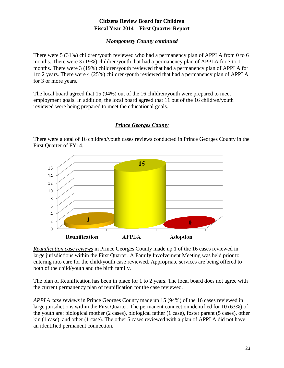## *Montgomery County continued*

<span id="page-22-0"></span>There were 5 (31%) children/youth reviewed who had a permanency plan of APPLA from 0 to 6 months. There were 3 (19%) children/youth that had a permanency plan of APPLA for 7 to 11 months. There were 3 (19%) children/youth reviewed that had a permanency plan of APPLA for 1to 2 years. There were 4 (25%) children/youth reviewed that had a permanency plan of APPLA for 3 or more years.

The local board agreed that 15 (94%) out of the 16 children/youth were prepared to meet employment goals. In addition, the local board agreed that 11 out of the 16 children/youth reviewed were being prepared to meet the educational goals.

## *Prince Georges County*

<span id="page-22-1"></span>There were a total of 16 children/youth cases reviews conducted in Prince Georges County in the First Quarter of FY14.



*Reunification case reviews* in Prince Georges County made up 1 of the 16 cases reviewed in large jurisdictions within the First Quarter. A Family Involvement Meeting was held prior to entering into care for the child/youth case reviewed. Appropriate services are being offered to both of the child/youth and the birth family.

The plan of Reunification has been in place for 1 to 2 years. The local board does not agree with the current permanency plan of reunification for the case reviewed.

*APPLA case reviews* in Prince Georges County made up 15 (94%) of the 16 cases reviewed in large jurisdictions within the First Quarter. The permanent connection identified for 10 (63%) of the youth are: biological mother (2 cases), biological father (1 case), foster parent (5 cases), other kin (1 case), and other (1 case). The other 5 cases reviewed with a plan of APPLA did not have an identified permanent connection.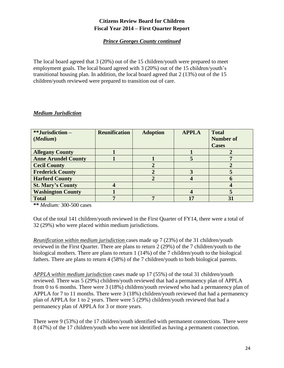## *Prince Georges County continued*

<span id="page-23-0"></span>The local board agreed that 3 (20%) out of the 15 children/youth were prepared to meet employment goals. The local board agreed with 3 (20%) out of the 15 children/youth's transitional housing plan. In addition, the local board agreed that 2 (13%) out of the 15 children/youth reviewed were prepared to transition out of care.

#### *Medium Jurisdiction*

| **Jurisdiction-            | <b>Reunification</b> | <b>Adoption</b> | <b>APPLA</b> | <b>Total</b>     |
|----------------------------|----------------------|-----------------|--------------|------------------|
| (Medium)                   |                      |                 |              | <b>Number of</b> |
|                            |                      |                 |              | <b>Cases</b>     |
| <b>Allegany County</b>     |                      |                 |              |                  |
| <b>Anne Arundel County</b> |                      |                 |              |                  |
| <b>Cecil County</b>        |                      |                 |              |                  |
| <b>Frederick County</b>    |                      |                 |              |                  |
| <b>Harford County</b>      |                      |                 |              |                  |
| <b>St. Mary's County</b>   |                      |                 |              |                  |
| <b>Washington County</b>   |                      |                 |              |                  |
| <b>Total</b>               |                      |                 | 17           |                  |

**\*\*** *Medium:* 300-500 cases

Out of the total 141 children/youth reviewed in the First Quarter of FY14, there were a total of 32 (29%) who were placed within medium jurisdictions.

*Reunification within medium jurisdiction* cases made up 7 (23%) of the 31 children/youth reviewed in the First Quarter. There are plans to return 2 (29%) of the 7 children/youth to the biological mothers. There are plans to return 1 (14%) of the 7 children/youth to the biological fathers. There are plans to return 4 (58%) of the 7 children/youth to both biological parents.

*APPLA within medium jurisdiction* cases made up 17 (55%) of the total 31 children/youth reviewed. There was 5 (29%) children/youth reviewed that had a permanency plan of APPLA from 0 to 6 months. There were 3 (18%) children/youth reviewed who had a permanency plan of APPLA for 7 to 11 months. There were 3 (18%) children/youth reviewed that had a permanency plan of APPLA for 1 to 2 years. There were 5 (29%) children/youth reviewed that had a permanency plan of APPLA for 3 or more years.

There were 9 (53%) of the 17 children/youth identified with permanent connections. There were 8 (47%) of the 17 children/youth who were not identified as having a permanent connection.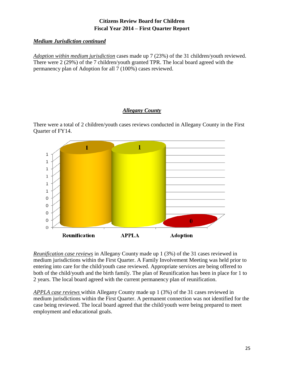#### *Medium Jurisdiction continued*

*Adoption within medium jurisdiction* cases made up 7 (23%) of the 31 children/youth reviewed. There were 2 (29%) of the 7 children/youth granted TPR. The local board agreed with the permanency plan of Adoption for all 7 (100%) cases reviewed.

## *Allegany County*

<span id="page-24-0"></span>There were a total of 2 children/youth cases reviews conducted in Allegany County in the First Quarter of FY14.



*Reunification case reviews* in Allegany County made up 1 (3%) of the 31 cases reviewed in medium jurisdictions within the First Quarter. A Family Involvement Meeting was held prior to entering into care for the child/youth case reviewed. Appropriate services are being offered to both of the child/youth and the birth family. The plan of Reunification has been in place for 1 to 2 years. The local board agreed with the current permanency plan of reunification.

*APPLA case reviews* within Allegany County made up 1 (3%) of the 31 cases reviewed in medium jurisdictions within the First Quarter. A permanent connection was not identified for the case being reviewed. The local board agreed that the child/youth were being prepared to meet employment and educational goals.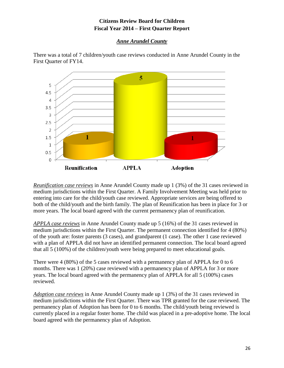#### *Anne Arundel County*



<span id="page-25-0"></span>There was a total of 7 children/youth case reviews conducted in Anne Arundel County in the First Quarter of FY14.

*Reunification case reviews* in Anne Arundel County made up 1 (3%) of the 31 cases reviewed in medium jurisdictions within the First Quarter. A Family Involvement Meeting was held prior to entering into care for the child/youth case reviewed. Appropriate services are being offered to both of the child/youth and the birth family. The plan of Reunification has been in place for 3 or more years. The local board agreed with the current permanency plan of reunification.

*APPLA case reviews* in Anne Arundel County made up 5 (16%) of the 31 cases reviewed in medium jurisdictions within the First Quarter. The permanent connection identified for 4 (80%) of the youth are: foster parents (3 cases), and grandparent (1 case). The other 1 case reviewed with a plan of APPLA did not have an identified permanent connection. The local board agreed that all 5 (100%) of the children/youth were being prepared to meet educational goals.

There were 4 (80%) of the 5 cases reviewed with a permanency plan of APPLA for 0 to 6 months. There was 1 (20%) case reviewed with a permanency plan of APPLA for 3 or more years. The local board agreed with the permanency plan of APPLA for all 5 (100%) cases reviewed.

*Adoption case reviews* in Anne Arundel County made up 1 (3%) of the 31 cases reviewed in medium jurisdictions within the First Quarter. There was TPR granted for the case reviewed. The permanency plan of Adoption has been for 0 to 6 months. The child/youth being reviewed is currently placed in a regular foster home. The child was placed in a pre-adoptive home. The local board agreed with the permanency plan of Adoption.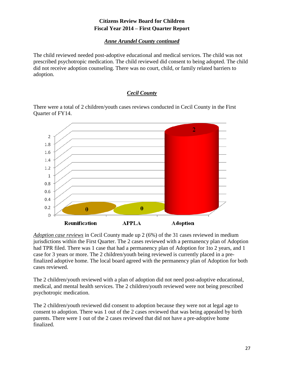## *Anne Arundel County continued*

<span id="page-26-0"></span>The child reviewed needed post-adoptive educational and medical services. The child was not prescribed psychotropic medication. The child reviewed did consent to being adopted. The child did not receive adoption counseling. There was no court, child, or family related barriers to adoption.

## *Cecil County*

<span id="page-26-1"></span>There were a total of 2 children/youth cases reviews conducted in Cecil County in the First Quarter of FY14.



*Adoption case reviews* in Cecil County made up 2 (6%) of the 31 cases reviewed in medium jurisdictions within the First Quarter. The 2 cases reviewed with a permanency plan of Adoption had TPR filed. There was 1 case that had a permanency plan of Adoption for 1to 2 years, and 1 case for 3 years or more. The 2 children/youth being reviewed is currently placed in a prefinalized adoptive home. The local board agreed with the permanency plan of Adoption for both cases reviewed.

The 2 children/youth reviewed with a plan of adoption did not need post-adoptive educational, medical, and mental health services. The 2 children/youth reviewed were not being prescribed psychotropic medication.

The 2 children/youth reviewed did consent to adoption because they were not at legal age to consent to adoption. There was 1 out of the 2 cases reviewed that was being appealed by birth parents. There were 1 out of the 2 cases reviewed that did not have a pre-adoptive home finalized.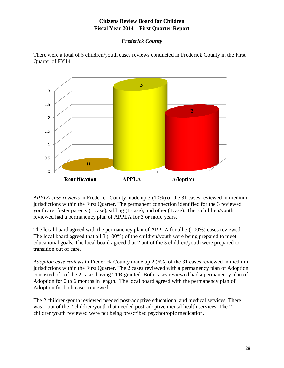## *Frederick County*

<span id="page-27-0"></span>There were a total of 5 children/youth cases reviews conducted in Frederick County in the First Quarter of FY14.



*APPLA case reviews* in Frederick County made up 3 (10%) of the 31 cases reviewed in medium jurisdictions within the First Quarter. The permanent connection identified for the 3 reviewed youth are: foster parents (1 case), sibling (1 case), and other (1case). The 3 children/youth reviewed had a permanency plan of APPLA for 3 or more years.

The local board agreed with the permanency plan of APPLA for all 3 (100%) cases reviewed. The local board agreed that all 3 (100%) of the children/youth were being prepared to meet educational goals. The local board agreed that 2 out of the 3 children/youth were prepared to transition out of care.

*Adoption case reviews* in Frederick County made up 2 (6%) of the 31 cases reviewed in medium jurisdictions within the First Quarter. The 2 cases reviewed with a permanency plan of Adoption consisted of 1of the 2 cases having TPR granted. Both cases reviewed had a permanency plan of Adoption for 0 to 6 months in length. The local board agreed with the permanency plan of Adoption for both cases reviewed.

The 2 children/youth reviewed needed post-adoptive educational and medical services. There was 1 out of the 2 children/youth that needed post-adoptive mental health services. The 2 children/youth reviewed were not being prescribed psychotropic medication.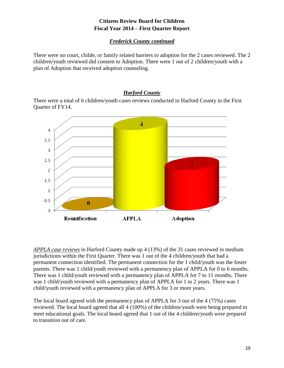## *Frederick County continued*

<span id="page-28-0"></span>There were no court, childe, or family related barriers to adoption for the 2 cases reviewed. The 2 children/youth reviewed did consent to Adoption. There were 1 out of 2 children/youth with a plan of Adoption that received adoption counseling.

## *Harford County*

<span id="page-28-1"></span>There were a total of 6 children/youth cases reviews conducted in Harford County in the First Quarter of FY14.



*APPLA case reviews* in Harford County made up 4 (13%) of the 31 cases reviewed in medium jurisdictions within the First Quarter. There was 1 out of the 4 children/youth that had a permanent connection identified. The permanent connection for the 1 child/youth was the foster parents. There was 1 child/youth reviewed with a permanency plan of APPLA for 0 to 6 months. There was 1 child/youth reviewed with a permanency plan of APPLA for 7 to 11 months. There was 1 child/youth reviewed with a permanency plan of APPLA for 1 to 2 years. There was 1 child/youth reviewed with a permanency plan of APPLA for 3 or more years.

The local board agreed with the permanency plan of APPLA for 3 out of the 4 (75%) cases reviewed. The local board agreed that all 4 (100%) of the children/youth were being prepared to meet educational goals. The local board agreed that 1 out of the 4 children/youth were prepared to transition out of care.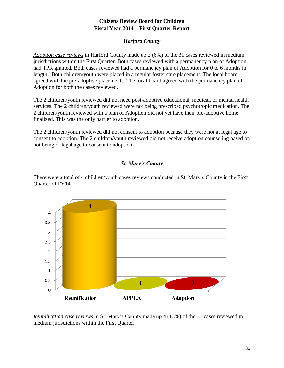## *Harford County*

<span id="page-29-0"></span>*Adoption case reviews* in Harford County made up 2 (6%) of the 31 cases reviewed in medium jurisdictions within the First Quarter. Both cases reviewed with a permanency plan of Adoption had TPR granted. Both cases reviewed had a permanency plan of Adoption for 0 to 6 months in length. Both children/youth were placed in a regular foster care placement. The local board agreed with the pre-adoptive placements. The local board agreed with the permanency plan of Adoption for both the cases reviewed.

The 2 children/youth reviewed did not need post-adoptive educational, medical, or mental health services. The 2 children/youth reviewed were not being prescribed psychotropic medication. The 2 children/youth reviewed with a plan of Adoption did not yet have their pre-adoptive home finalized. This was the only barrier to adoption.

The 2 children/youth reviewed did not consent to adoption because they were not at legal age to consent to adoption. The 2 children/youth reviewed did not receive adoption counseling based on not being of legal age to consent to adoption.

## *St. Mary's County*

<span id="page-29-1"></span>There were a total of 4 children/youth cases reviews conducted in St. Mary's County in the First Quarter of FY14.



*Reunification case reviews* in St. Mary's County made up 4 (13%) of the 31 cases reviewed in medium jurisdictions within the First Quarter.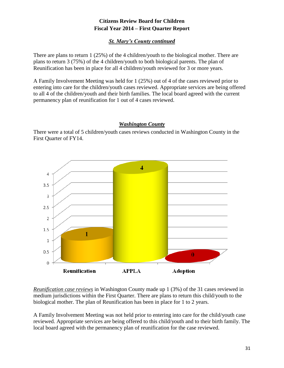#### *St. Mary's County continued*

<span id="page-30-0"></span>There are plans to return 1 (25%) of the 4 children/youth to the biological mother. There are plans to return 3 (75%) of the 4 children/youth to both biological parents. The plan of Reunification has been in place for all 4 children/youth reviewed for 3 or more years.

A Family Involvement Meeting was held for 1 (25%) out of 4 of the cases reviewed prior to entering into care for the children/youth cases reviewed. Appropriate services are being offered to all 4 of the children/youth and their birth families. The local board agreed with the current permanency plan of reunification for 1 out of 4 cases reviewed.

#### *Washington County*

<span id="page-30-1"></span>There were a total of 5 children/youth cases reviews conducted in Washington County in the First Quarter of FY14.



*Reunification case reviews* in Washington County made up 1 (3%) of the 31 cases reviewed in medium jurisdictions within the First Quarter. There are plans to return this child/youth to the biological mother. The plan of Reunification has been in place for 1 to 2 years.

A Family Involvement Meeting was not held prior to entering into care for the child/youth case reviewed. Appropriate services are being offered to this child/youth and to their birth family. The local board agreed with the permanency plan of reunification for the case reviewed.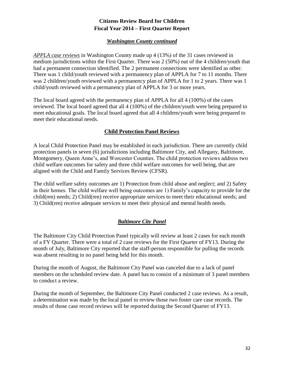#### *Washington County continued*

<span id="page-31-0"></span>*APPLA case reviews* in Washington County made up 4 (13%) of the 31 cases reviewed in medium jurisdictions within the First Quarter. There was 2 (50%) out of the 4 children/youth that had a permanent connection identified. The 2 permanent connections were identified as other. There was 1 child/youth reviewed with a permanency plan of APPLA for 7 to 11 months. There was 2 children/youth reviewed with a permanency plan of APPLA for 1 to 2 years. There was 1 child/youth reviewed with a permanency plan of APPLA for 3 or more years.

The local board agreed with the permanency plan of APPLA for all 4 (100%) of the cases reviewed. The local board agreed that all 4 (100%) of the children/youth were being prepared to meet educational goals. The local board agreed that all 4 children/youth were being prepared to meet their educational needs.

#### **Child Protection Panel Reviews**

<span id="page-31-1"></span>A local Child Protection Panel may be established in each jurisdiction. There are currently child protection panels in seven (6) jurisdictions including Baltimore City, and Allegany, Baltimore, Montgomery, Queen Anne's, and Worcester Counties. The child protection reviews address two child welfare outcomes for safety and three child welfare outcomes for well being, that are aligned with the Child and Family Services Review (CFSR).

The child welfare safety outcomes are 1) Protection from child abuse and neglect; and 2) Safety in their homes. The child welfare well being outcomes are 1) Family's capacity to provide for the child(ren) needs; 2) Child(ren) receive appropriate services to meet their educational needs; and 3) Child(ren) receive adequate services to meet their physical and mental health needs.

## *Baltimore City Panel*

<span id="page-31-2"></span>The Baltimore City Child Protection Panel typically will review at least 2 cases for each month of a FY Quarter. There were a total of 2 case reviews for the First Quarter of FY13. During the month of July, Baltimore City reported that the staff-person responsible for pulling the records was absent resulting in no panel being held for this month.

During the month of August, the Baltimore City Panel was canceled due to a lack of panel members on the scheduled review date. A panel has to consist of a minimum of 3 panel members to conduct a review.

During the month of September, the Baltimore City Panel conducted 2 case reviews. As a result, a determination was made by the local panel to review those two foster care case records. The results of those case record reviews will be reported during the Second Quarter of FY13.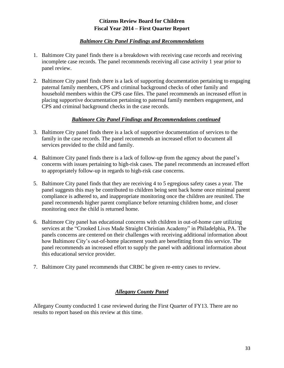#### *Baltimore City Panel Findings and Recommendations*

- <span id="page-32-0"></span>1. Baltimore City panel finds there is a breakdown with receiving case records and receiving incomplete case records. The panel recommends receiving all case activity 1 year prior to panel review.
- 2. Baltimore City panel finds there is a lack of supporting documentation pertaining to engaging paternal family members, CPS and criminal background checks of other family and household members within the CPS case files. The panel recommends an increased effort in placing supportive documentation pertaining to paternal family members engagement, and CPS and criminal background checks in the case records.

#### *Baltimore City Panel Findings and Recommendations continued*

- 3. Baltimore City panel finds there is a lack of supportive documentation of services to the family in the case records. The panel recommends an increased effort to document all services provided to the child and family.
- 4. Baltimore City panel finds there is a lack of follow-up from the agency about the panel's concerns with issues pertaining to high-risk cases. The panel recommends an increased effort to appropriately follow-up in regards to high-risk case concerns.
- 5. Baltimore City panel finds that they are receiving 4 to 5 egregious safety cases a year. The panel suggests this may be contributed to children being sent back home once minimal parent compliance is adhered to, and inappropriate monitoring once the children are reunited. The panel recommends higher parent compliance before returning children home, and closer monitoring once the child is returned home.
- 6. Baltimore City panel has educational concerns with children in out-of-home care utilizing services at the "Crooked Lives Made Straight Christian Academy" in Philadelphia, PA. The panels concerns are centered on their challenges with receiving additional information about how Baltimore City's out-of-home placement youth are benefitting from this service. The panel recommends an increased effort to supply the panel with additional information about this educational service provider.
- <span id="page-32-1"></span>7. Baltimore City panel recommends that CRBC be given re-entry cases to review.

## *Allegany County Panel*

Allegany County conducted 1 case reviewed during the First Quarter of FY13. There are no results to report based on this review at this time.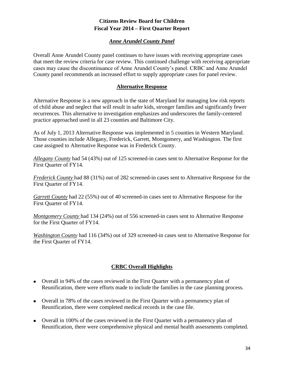## *Anne Arundel County Panel*

<span id="page-33-0"></span>Overall Anne Arundel County panel continues to have issues with receiving appropriate cases that meet the review criteria for case review. This continued challenge with receiving appropriate cases may cause the discontinuance of Anne Arundel County's panel. CRBC and Anne Arundel County panel recommends an increased effort to supply appropriate cases for panel review.

#### **Alternative Response**

<span id="page-33-1"></span>Alternative Response is a new approach in the state of Maryland for managing low risk reports of child abuse and neglect that will result in safer kids, stronger families and significantly fewer recurrences. This alternative to investigation emphasizes and underscores the family-centered practice approached used in all 23 counties and Baltimore City.

As of July 1, 2013 Alternative Response was implemented in 5 counties in Western Maryland. Those counties include Allegany, Frederick, Garrett, Montgomery, and Washington. The first case assigned to Alternative Response was in Frederick County.

*Allegany County* had 54 (43%) out of 125 screened-in cases sent to Alternative Response for the First Quarter of FY14.

*Frederick County* had 88 (31%) out of 282 screened-in cases sent to Alternative Response for the First Quarter of FY14.

*Garrett County* had 22 (55%) out of 40 screened-in cases sent to Alternative Response for the First Quarter of FY14.

*Montgomery County* had 134 (24%) out of 556 screened-in cases sent to Alternative Response for the First Quarter of FY14.

*Washington County* had 116 (34%) out of 329 screened-in cases sent to Alternative Response for the First Quarter of FY14.

## **CRBC Overall Highlights**

- <span id="page-33-2"></span>Overall in 94% of the cases reviewed in the First Quarter with a permanency plan of Reunification, there were efforts made to include the families in the case planning process.
- Overall in 78% of the cases reviewed in the First Quarter with a permanency plan of Reunification, there were completed medical records in the case file.
- Overall in 100% of the cases reviewed in the First Quarter with a permanency plan of Reunification, there were comprehensive physical and mental health assessments completed.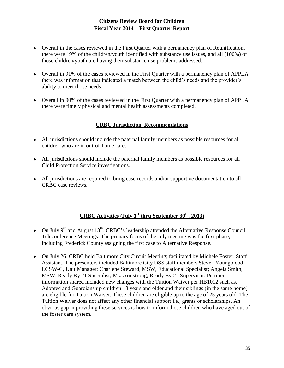- Overall in the cases reviewed in the First Quarter with a permanency plan of Reunification, there were 19% of the children/youth identified with substance use issues, and all (100%) of those children/youth are having their substance use problems addressed.
- Overall in 91% of the cases reviewed in the First Quarter with a permanency plan of APPLA there was information that indicated a match between the child's needs and the provider's ability to meet those needs.
- <span id="page-34-0"></span>Overall in 90% of the cases reviewed in the First Quarter with a permanency plan of APPLA there were timely physical and mental health assessments completed.

## **CRBC Jurisdiction Recommendations**

- All jurisdictions should include the paternal family members as possible resources for all children who are in out-of-home care.
- All jurisdictions should include the paternal family members as possible resources for all Child Protection Service investigations.
- All jurisdictions are required to bring case records and/or supportive documentation to all CRBC case reviews.

## **CRBC Activities (July 1st thru September 30th, 2013)**

- <span id="page-34-1"></span>On July  $9<sup>th</sup>$  and August 13<sup>th</sup>, CRBC's leadership attended the Alternative Response Council Teleconference Meetings. The primary focus of the July meeting was the first phase, including Frederick County assigning the first case to Alternative Response.
- On July 26, CRBC held Baltimore City Circuit Meeting; facilitated by Michele Foster, Staff Assistant. The presenters included Baltimore City DSS staff members Steven Youngblood, LCSW-C, Unit Manager; Charlene Steward, MSW, Educational Specialist; Angela Smith, MSW, Ready By 21 Specialist; Ms. Armstrong, Ready By 21 Supervisor. Pertinent information shared included new changes with the Tuition Waiver per HB1012 such as, Adopted and Guardianship children 13 years and older and their siblings (in the same home) are eligible for Tuition Waiver. These children are eligible up to the age of 25 years old. The Tuition Waiver does not affect any other financial support i.e., grants or scholarships. An obvious gap in providing these services is how to inform those children who have aged out of the foster care system.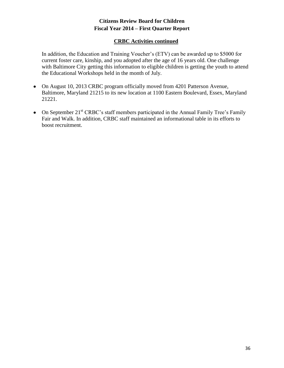#### **CRBC Activities continued**

In addition, the Education and Training Voucher's (ETV) can be awarded up to \$5000 for current foster care, kinship, and you adopted after the age of 16 years old. One challenge with Baltimore City getting this information to eligible children is getting the youth to attend the Educational Workshops held in the month of July.

- On August 10, 2013 CRBC program officially moved from 4201 Patterson Avenue, Baltimore, Maryland 21215 to its new location at 1100 Eastern Boulevard, Essex, Maryland 21221.
- On September  $21<sup>st</sup> CRBC$ 's staff members participated in the Annual Family Tree's Family Fair and Walk. In addition, CRBC staff maintained an informational table in its efforts to boost recruitment.